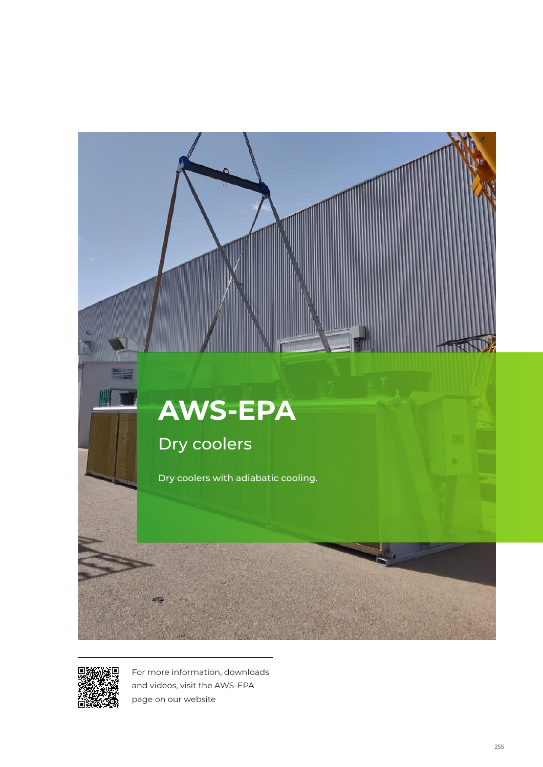



For more information, downloads and videos, visit the AWS-EPA page on our website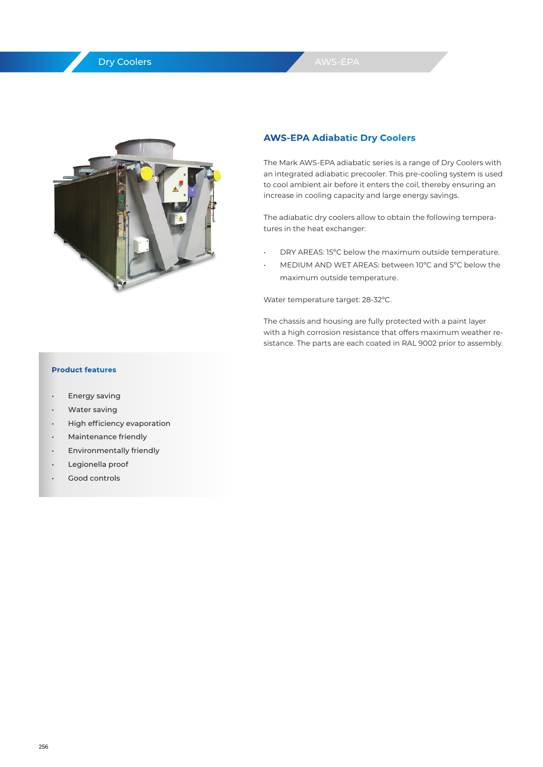# Dry Coolers



## **AWS-EPA Adiabatic Dry Coolers**

The Mark AWS-EPA adiabatic series is a range of Dry Coolers with an integrated adiabatic precooler. This pre-cooling system is used to cool ambient air before it enters the coil, thereby ensuring an increase in cooling capacity and large energy savings.

The adiabatic dry coolers allow to obtain the following temperatures in the heat exchanger:

- DRY AREAS: 15°C below the maximum outside temperature.
- MEDIUM AND WET AREAS: between 10ºC and 5ºC below the maximum outside temperature.

Water temperature target: 28-32ºC.

The chassis and housing are fully protected with a paint layer with a high corrosion resistance that offers maximum weather resistance. The parts are each coated in RAL 9002 prior to assembly.

### **Product features**

- Energy saving
- Water saving
- High efficiency evaporation
- Maintenance friendly
- Environmentally friendly
- Legionella proof
- Good controls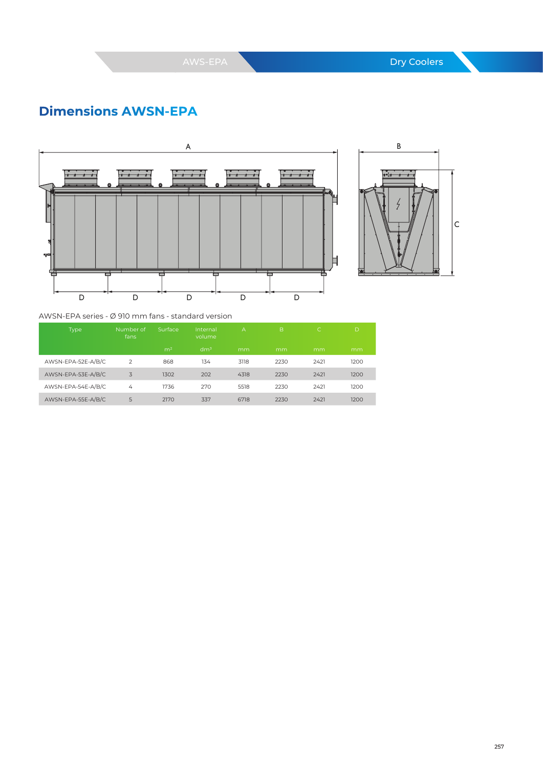# **Dimensions AWSN-EPA**





AWSN-EPA series - Ø 910 mm fans - standard version

| Type               | Number of<br>fans | Surface        | Internal<br>volume | $\overline{A}$ | $\overline{B}$ | IC.  | D    |
|--------------------|-------------------|----------------|--------------------|----------------|----------------|------|------|
|                    |                   | m <sup>2</sup> | dm <sup>3</sup>    | mm             | mm             | mm   | mm   |
| AWSN-EPA-52E-A/B/C | $\mathcal{P}$     | 868            | 134                | 3118           | 2230           | 2421 | 1200 |
| AWSN-EPA-53E-A/B/C | 3                 | 1302           | 202                | 4318           | 2230           | 2421 | 1200 |
| AWSN-EPA-54E-A/B/C | 4                 | 1736           | 270                | 5518           | 2230           | 2421 | 1200 |
| AWSN-EPA-55E-A/B/C | 5                 | 2170           | 337                | 6718           | 2230           | 2421 | 1200 |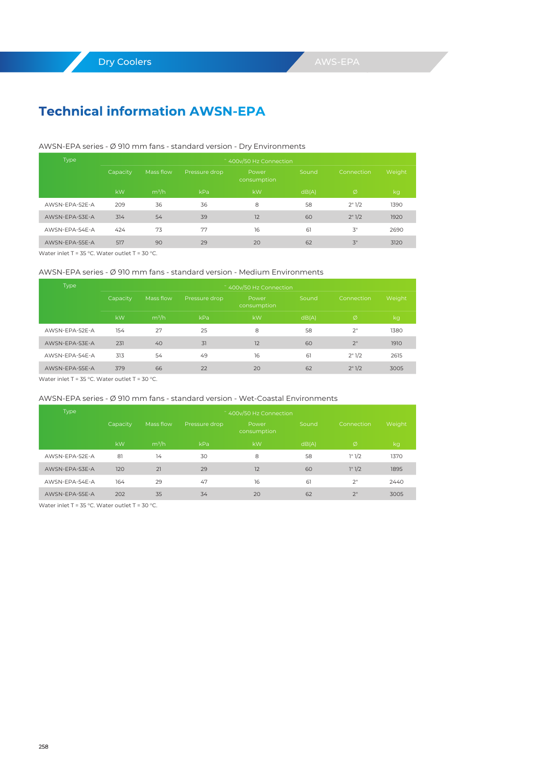# **Technical information AWSN-EPA**

#### AWSN-EPA series - Ø 910 mm fans - standard version - Dry Environments

| Type           | ~ 400v/50 Hz Connection |           |               |                      |       |            |        |  |
|----------------|-------------------------|-----------|---------------|----------------------|-------|------------|--------|--|
|                | Capacity                | Mass flow | Pressure drop | Power<br>consumption | Sound | Connection | Weight |  |
|                | kW                      | $m^3/h$   | kPa           | kW                   | dB(A) | Ø          | kg     |  |
| AWSN-FPA-52F-A | 209                     | 36        | 36            | 8                    | 58    | 2"1/2      | 1390   |  |
| AWSN-FPA-53F-A | 314                     | 54        | 39            | 12                   | 60    | 2" 1/2     | 1920   |  |
| AWSN-FPA-54F-A | 424                     | 73        | 77            | 16                   | 61    | 3"         | 2690   |  |
| AWSN-FPA-55F-A | 517                     | 90        | 29            | 20                   | 62    | 3"         | 3120   |  |

Water inlet T = 35 °C. Water outlet T = 30 °C.

### AWSN-EPA series - Ø 910 mm fans - standard version - Medium Environments

| Type           | " 400y/50 Hz Connection |           |               |                      |       |                 |        |  |  |
|----------------|-------------------------|-----------|---------------|----------------------|-------|-----------------|--------|--|--|
|                | Capacity                | Mass flow | Pressure drop | Power<br>consumption | Sound | Connection      | Weight |  |  |
|                | kW                      | $m^3/h$   | kPa           | kW                   | dB(A) | Ø               | kg     |  |  |
| AWSN-FPA-52F-A | 154                     | 27        | 25            | 8                    | 58    | 2"              | 1380   |  |  |
| AWSN-FPA-53F-A | 231                     | 40        | 31            | 12                   | 60    | 2 <sup>11</sup> | 1910   |  |  |
| AWSN-FPA-54F-A | 313                     | 54        | 49            | 16                   | 61    | 2"1/2           | 2615   |  |  |
| AWSN-FPA-55F-A | 379                     | 66        | 22            | 20                   | 62    | 2"1/2           | 3005   |  |  |

Water inlet T = 35 °C. Water outlet T = 30 °C.

#### AWSN-EPA series - Ø 910 mm fans - standard version - Wet-Coastal Environments

| Type           | ~ 400v/50 Hz Connection |                   |               |                      |       |                 |        |  |  |
|----------------|-------------------------|-------------------|---------------|----------------------|-------|-----------------|--------|--|--|
|                | Capacity                | Mass flow         | Pressure drop | Power<br>consumption | Sound | Connection      | Weight |  |  |
|                | kW                      | m <sup>3</sup> /h | kPa           | kW                   | dB(A) | Ø               | kg     |  |  |
| AWSN-FPA-52F-A | 81                      | 14                | 30            | 8                    | 58    | 1"1/2           | 1370   |  |  |
| AWSN-FPA-53F-A | 120                     | 21                | 29            | 12                   | 60    | 1" 1/2          | 1895   |  |  |
| AWSN-FPA-54F-A | 164                     | 29                | 47            | 16                   | 61    | 2 <sup>11</sup> | 2440   |  |  |
| AWSN-FPA-55F-A | 202                     | 35                | 34            | 20                   | 62    | 2 <sup>11</sup> | 3005   |  |  |

Water inlet T = 35 °C. Water outlet T = 30 °C.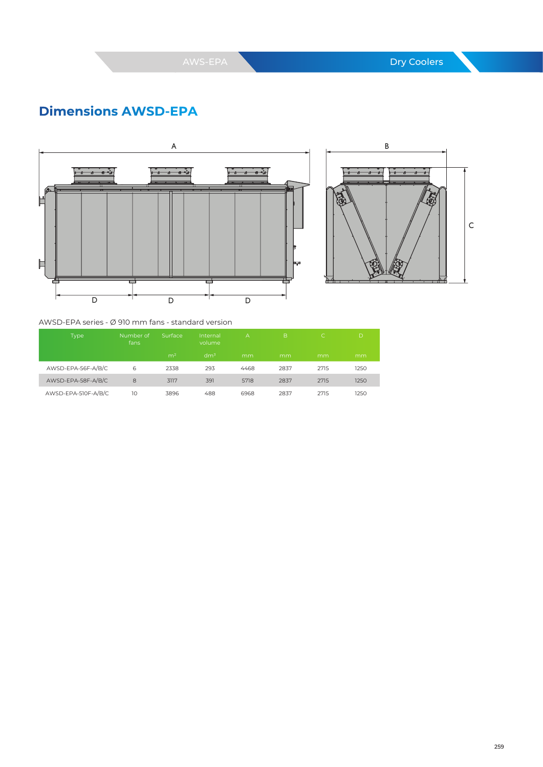# **Dimensions AWSD-EPA**





### AWSD-EPA series - Ø 910 mm fans - standard version

| Type                | Number of<br>fans | Surface        | Internal<br>volume | А    | B    | C.   | D    |
|---------------------|-------------------|----------------|--------------------|------|------|------|------|
|                     |                   | m <sup>2</sup> | dm <sup>3</sup>    | mm   | mm   | mm   | mm   |
| AWSD-EPA-56F-A/B/C  | 6                 | 2338           | 293                | 4468 | 2837 | 2715 | 1250 |
| AWSD-EPA-58F-A/B/C  | 8                 | 3117           | 391                | 5718 | 2837 | 2715 | 1250 |
| AWSD-EPA-510F-A/B/C | 10                | 3896           | 488                | 6968 | 2837 | 2715 | 1250 |